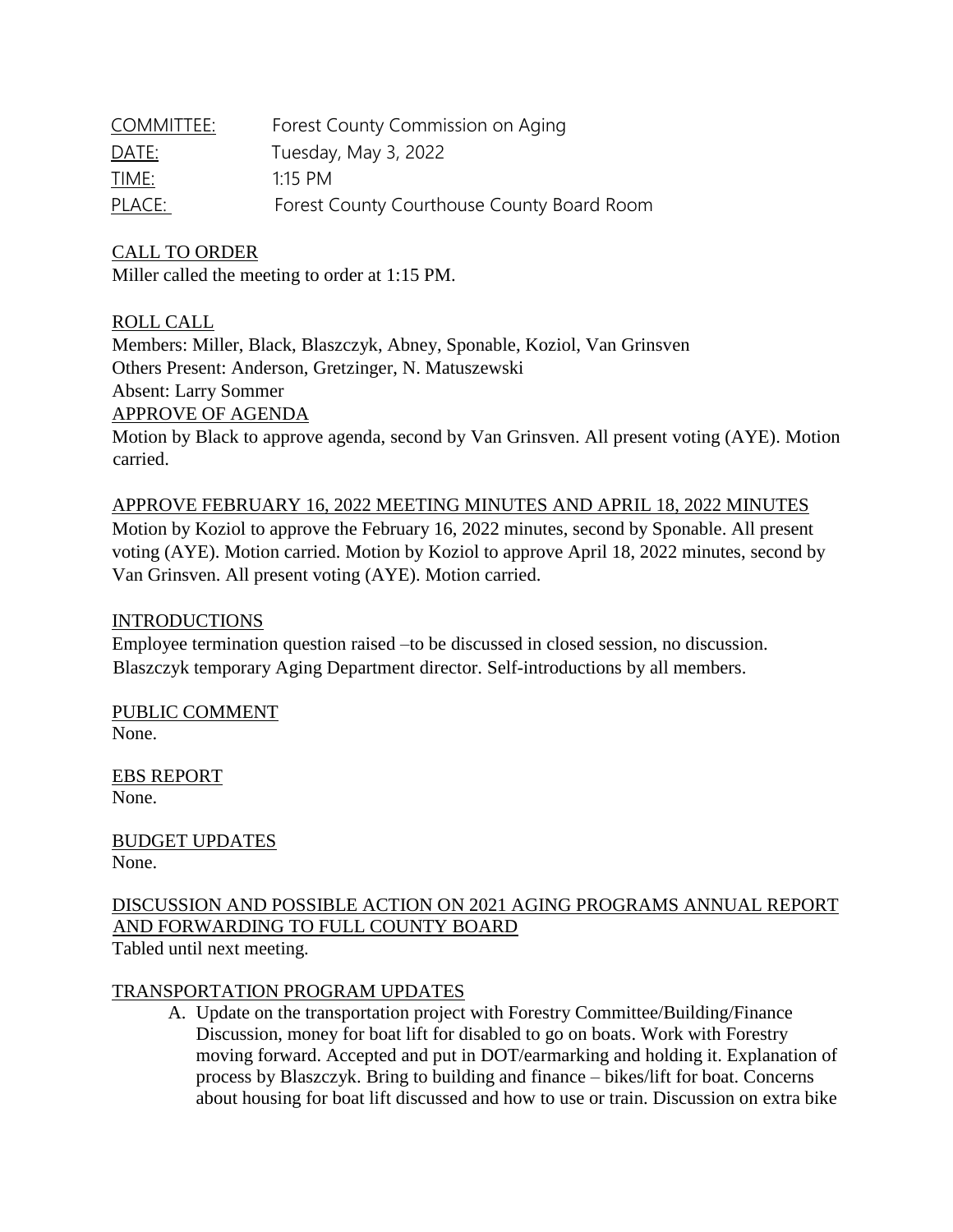| COMMITTEE:   | Forest County Commission on Aging          |
|--------------|--------------------------------------------|
| <u>DATE:</u> | Tuesday, May 3, 2022                       |
| TIME:        | 1.15 PM                                    |
| PLACE:       | Forest County Courthouse County Board Room |

## CALL TO ORDER

Miller called the meeting to order at 1:15 PM.

## ROLL CALL

Members: Miller, Black, Blaszczyk, Abney, Sponable, Koziol, Van Grinsven Others Present: Anderson, Gretzinger, N. Matuszewski Absent: Larry Sommer APPROVE OF AGENDA

Motion by Black to approve agenda, second by Van Grinsven. All present voting (AYE). Motion carried.

APPROVE FEBRUARY 16, 2022 MEETING MINUTES AND APRIL 18, 2022 MINUTES Motion by Koziol to approve the February 16, 2022 minutes, second by Sponable. All present voting (AYE). Motion carried. Motion by Koziol to approve April 18, 2022 minutes, second by Van Grinsven. All present voting (AYE). Motion carried.

#### **INTRODUCTIONS**

Employee termination question raised –to be discussed in closed session, no discussion. Blaszczyk temporary Aging Department director. Self-introductions by all members.

PUBLIC COMMENT None.

EBS REPORT None.

BUDGET UPDATES None.

DISCUSSION AND POSSIBLE ACTION ON 2021 AGING PROGRAMS ANNUAL REPORT AND FORWARDING TO FULL COUNTY BOARD Tabled until next meeting.

#### TRANSPORTATION PROGRAM UPDATES

A. Update on the transportation project with Forestry Committee/Building/Finance Discussion, money for boat lift for disabled to go on boats. Work with Forestry moving forward. Accepted and put in DOT/earmarking and holding it. Explanation of process by Blaszczyk. Bring to building and finance – bikes/lift for boat. Concerns about housing for boat lift discussed and how to use or train. Discussion on extra bike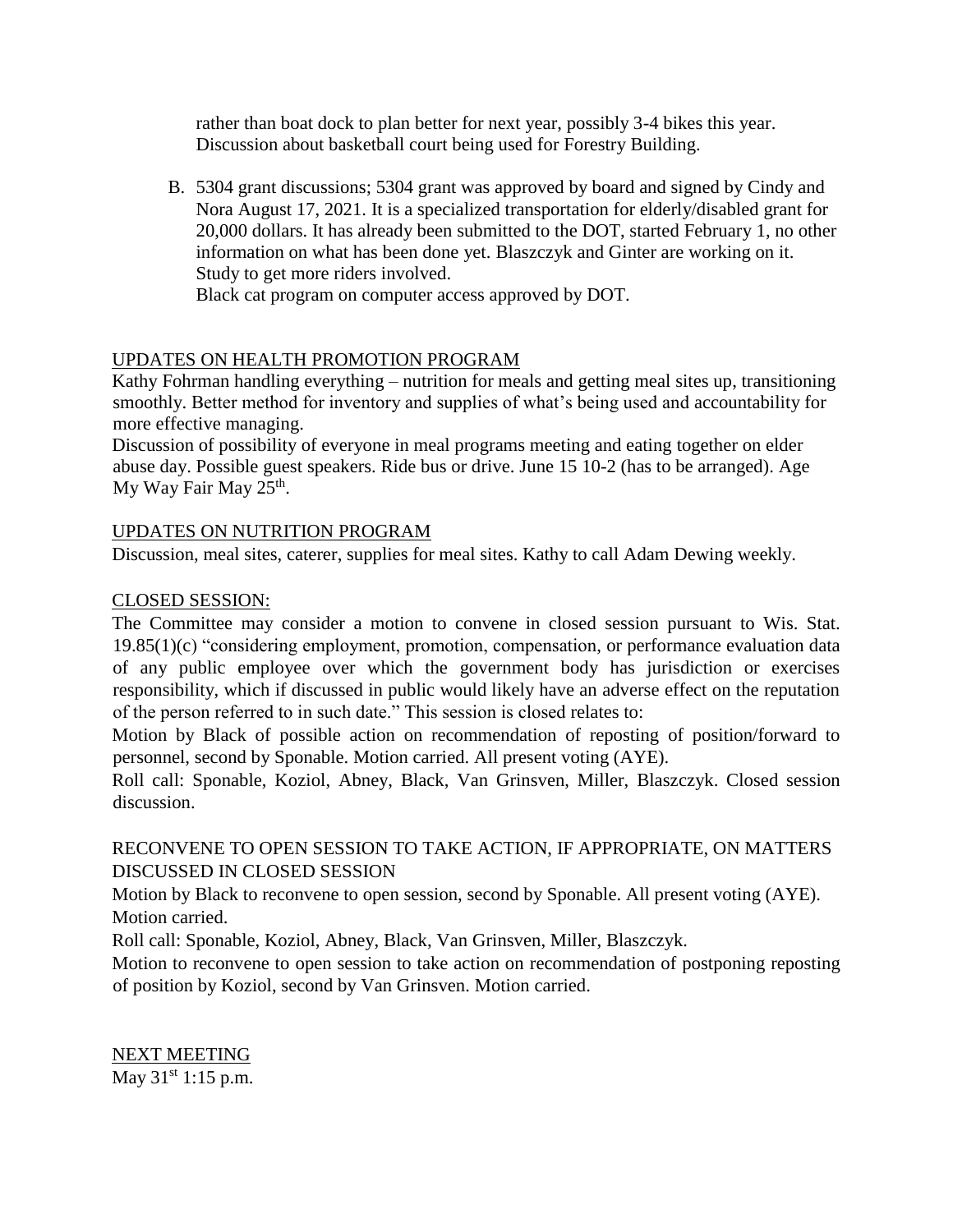rather than boat dock to plan better for next year, possibly 3-4 bikes this year. Discussion about basketball court being used for Forestry Building.

B. 5304 grant discussions; 5304 grant was approved by board and signed by Cindy and Nora August 17, 2021. It is a specialized transportation for elderly/disabled grant for 20,000 dollars. It has already been submitted to the DOT, started February 1, no other information on what has been done yet. Blaszczyk and Ginter are working on it. Study to get more riders involved.

Black cat program on computer access approved by DOT.

## UPDATES ON HEALTH PROMOTION PROGRAM

Kathy Fohrman handling everything – nutrition for meals and getting meal sites up, transitioning smoothly. Better method for inventory and supplies of what's being used and accountability for more effective managing.

Discussion of possibility of everyone in meal programs meeting and eating together on elder abuse day. Possible guest speakers. Ride bus or drive. June 15 10-2 (has to be arranged). Age My Way Fair May 25<sup>th</sup>.

## UPDATES ON NUTRITION PROGRAM

Discussion, meal sites, caterer, supplies for meal sites. Kathy to call Adam Dewing weekly.

#### CLOSED SESSION:

The Committee may consider a motion to convene in closed session pursuant to Wis. Stat. 19.85(1)(c) "considering employment, promotion, compensation, or performance evaluation data of any public employee over which the government body has jurisdiction or exercises responsibility, which if discussed in public would likely have an adverse effect on the reputation of the person referred to in such date." This session is closed relates to:

Motion by Black of possible action on recommendation of reposting of position/forward to personnel, second by Sponable. Motion carried. All present voting (AYE).

Roll call: Sponable, Koziol, Abney, Black, Van Grinsven, Miller, Blaszczyk. Closed session discussion.

## RECONVENE TO OPEN SESSION TO TAKE ACTION, IF APPROPRIATE, ON MATTERS DISCUSSED IN CLOSED SESSION

Motion by Black to reconvene to open session, second by Sponable. All present voting (AYE). Motion carried.

Roll call: Sponable, Koziol, Abney, Black, Van Grinsven, Miller, Blaszczyk.

Motion to reconvene to open session to take action on recommendation of postponing reposting of position by Koziol, second by Van Grinsven. Motion carried.

NEXT MEETING May 31<sup>st</sup> 1:15 p.m.